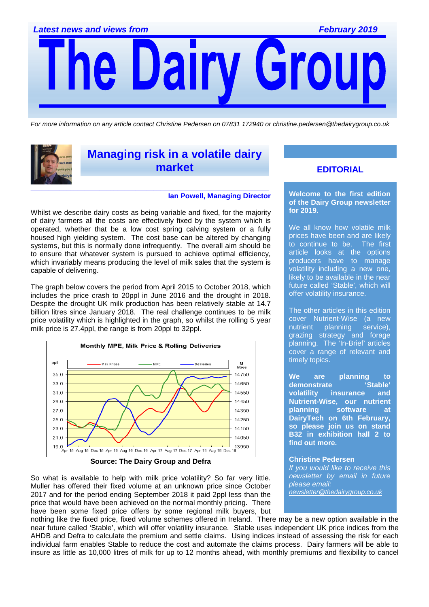Gro Dairy

For more information on any article contact Christine Pedersen on 07831 172940 or christine.pedersen@thedairygroup.co.uk



# **Managing risk in a volatile dairy market**

#### **Ian Powell, Managing Director**

Whilst we describe dairy costs as being variable and fixed, for the majority of dairy farmers all the costs are effectively fixed by the system which is operated, whether that be a low cost spring calving system or a fully housed high yielding system. The cost base can be altered by changing systems, but this is normally done infrequently. The overall aim should be to ensure that whatever system is pursued to achieve optimal efficiency, which invariably means producing the level of milk sales that the system is capable of delivering.

The graph below covers the period from April 2015 to October 2018, which includes the price crash to 20ppl in June 2016 and the drought in 2018. Despite the drought UK milk production has been relatively stable at 14.7 billion litres since January 2018. The real challenge continues to be milk price volatility which is highlighted in the graph, so whilst the rolling 5 year milk price is 27.4ppl, the range is from 20ppl to 32ppl.



**Source: The Dairy Group and Defra** 

So what is available to help with milk price volatility? So far very little. Muller has offered their fixed volume at an unknown price since October 2017 and for the period ending September 2018 it paid 2ppl less than the price that would have been achieved on the normal monthly pricing. There have been some fixed price offers by some regional milk buyers, but

### **EDITORIAL**

**Welcome to the first edition of the Dairy Group newsletter for 2019.** 

We all know how volatile milk prices have been and are likely to continue to be. The first article looks at the options producers have to manage volatility including a new one, likely to be available in the near future called 'Stable', which will offer volatility insurance.

The other articles in this edition cover Nutrient-Wise (a new nutrient planning service), grazing strategy and forage planning. The 'In-Brief' articles cover a range of relevant and timely topics.

**We are planning to demonstrate 'Stable' volatility insurance and Nutrient-Wise, our nutrient planning software at DairyTech on 6th February, so please join us on stand B32 in exhibition hall 2 to find out more.** 

#### **Christine Pedersen** If you would like to receive this

newsletter by email in future please email: .<br>newsletter@thedairygroup.co.uk

nothing like the fixed price, fixed volume schemes offered in Ireland. There may be a new option available in the near future called 'Stable', which will offer volatility insurance. Stable uses independent UK price indices from the AHDB and Defra to calculate the premium and settle claims. Using indices instead of assessing the risk for each individual farm enables Stable to reduce the cost and automate the claims process. Dairy farmers will be able to insure as little as 10,000 litres of milk for up to 12 months ahead, with monthly premiums and flexibility to cancel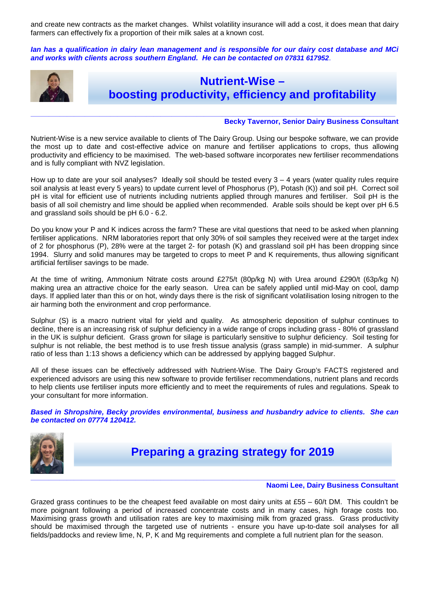and create new contracts as the market changes. Whilst volatility insurance will add a cost, it does mean that dairy farmers can effectively fix a proportion of their milk sales at a known cost.

**Ian has a qualification in dairy lean management and is responsible for our dairy cost database and MCi and works with clients across southern England. He can be contacted on 07831 617952**.



# **Nutrient-Wise – boosting productivity, efficiency and profitability**

#### **Becky Tavernor, Senior Dairy Business Consultant**

Nutrient-Wise is a new service available to clients of The Dairy Group. Using our bespoke software, we can provide the most up to date and cost-effective advice on manure and fertiliser applications to crops, thus allowing productivity and efficiency to be maximised. The web-based software incorporates new fertiliser recommendations and is fully compliant with NVZ legislation.

**\_\_\_\_\_\_\_\_\_\_\_\_\_\_\_\_\_\_\_\_\_\_\_\_\_\_\_\_\_\_\_\_\_\_\_\_\_\_\_\_\_\_\_\_\_\_\_\_\_\_\_\_\_\_\_\_\_\_\_\_\_\_\_\_\_\_\_\_\_\_\_\_\_\_\_\_\_\_\_\_\_\_\_\_\_\_\_\_\_\_\_\_\_\_\_\_\_\_\_\_\_** 

How up to date are your soil analyses? Ideally soil should be tested every  $3 - 4$  years (water quality rules require soil analysis at least every 5 years) to update current level of Phosphorus (P), Potash (K)) and soil pH. Correct soil pH is vital for efficient use of nutrients including nutrients applied through manures and fertiliser. Soil pH is the basis of all soil chemistry and lime should be applied when recommended. Arable soils should be kept over pH 6.5 and grassland soils should be pH 6.0 - 6.2.

Do you know your P and K indices across the farm? These are vital questions that need to be asked when planning fertiliser applications. NRM laboratories report that only 30% of soil samples they received were at the target index of 2 for phosphorus (P), 28% were at the target 2- for potash (K) and grassland soil pH has been dropping since 1994. Slurry and solid manures may be targeted to crops to meet P and K requirements, thus allowing significant artificial fertiliser savings to be made.

At the time of writing, Ammonium Nitrate costs around £275/t (80p/kg N) with Urea around £290/t (63p/kg N) making urea an attractive choice for the early season. Urea can be safely applied until mid-May on cool, damp days. If applied later than this or on hot, windy days there is the risk of significant volatilisation losing nitrogen to the air harming both the environment and crop performance.

Sulphur (S) is a macro nutrient vital for yield and quality. As atmospheric deposition of sulphur continues to decline, there is an increasing risk of sulphur deficiency in a wide range of crops including grass - 80% of grassland in the UK is sulphur deficient. Grass grown for silage is particularly sensitive to sulphur deficiency. Soil testing for sulphur is not reliable, the best method is to use fresh tissue analysis (grass sample) in mid-summer. A sulphur ratio of less than 1:13 shows a deficiency which can be addressed by applying bagged Sulphur.

All of these issues can be effectively addressed with Nutrient-Wise. The Dairy Group's FACTS registered and experienced advisors are using this new software to provide fertiliser recommendations, nutrient plans and records to help clients use fertiliser inputs more efficiently and to meet the requirements of rules and regulations. Speak to your consultant for more information.

**Based in Shropshire, Becky provides environmental, business and husbandry advice to clients. She can be contacted on 07774 120412.** 



**Preparing a grazing strategy for 2019** 

#### **Naomi Lee, Dairy Business Consultant**

Grazed grass continues to be the cheapest feed available on most dairy units at £55 – 60/t DM. This couldn't be more poignant following a period of increased concentrate costs and in many cases, high forage costs too. Maximising grass growth and utilisation rates are key to maximising milk from grazed grass. Grass productivity should be maximised through the targeted use of nutrients - ensure you have up-to-date soil analyses for all fields/paddocks and review lime, N, P, K and Mg requirements and complete a full nutrient plan for the season.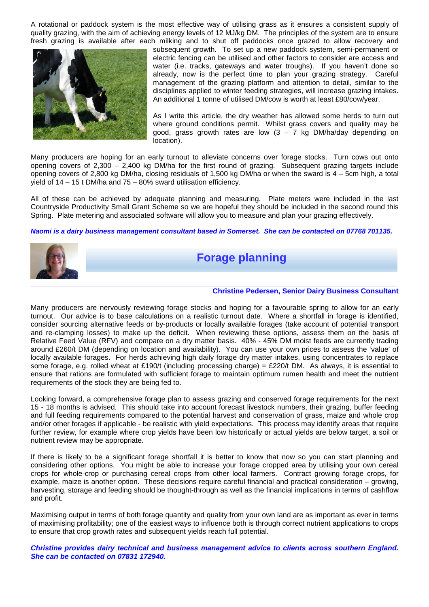A rotational or paddock system is the most effective way of utilising grass as it ensures a consistent supply of quality grazing, with the aim of achieving energy levels of 12 MJ/kg DM. The principles of the system are to ensure fresh grazing is available after each milking and to shut off paddocks once grazed to allow recovery and



subsequent growth. To set up a new paddock system, semi-permanent or electric fencing can be utilised and other factors to consider are access and water (i.e. tracks, gateways and water troughs). If you haven't done so already, now is the perfect time to plan your grazing strategy. Careful management of the grazing platform and attention to detail, similar to the disciplines applied to winter feeding strategies, will increase grazing intakes. An additional 1 tonne of utilised DM/cow is worth at least £80/cow/year.

As I write this article, the dry weather has allowed some herds to turn out where ground conditions permit. Whilst grass covers and quality may be good, grass growth rates are low  $(3 - 7)$  kg DM/ha/day depending on location).

Many producers are hoping for an early turnout to alleviate concerns over forage stocks. Turn cows out onto opening covers of 2,300 – 2,400 kg DM/ha for the first round of grazing. Subsequent grazing targets include opening covers of 2,800 kg DM/ha, closing residuals of 1,500 kg DM/ha or when the sward is 4 – 5cm high, a total yield of 14 – 15 t DM/ha and 75 – 80% sward utilisation efficiency.

All of these can be achieved by adequate planning and measuring. Plate meters were included in the last Countryside Productivity Small Grant Scheme so we are hopeful they should be included in the second round this Spring. Plate metering and associated software will allow you to measure and plan your grazing effectively.

#### **Naomi is a dairy business management consultant based in Somerset. She can be contacted on 07768 701135.**



**Forage planning** 

#### **Christine Pedersen, Senior Dairy Business Consultant**

Many producers are nervously reviewing forage stocks and hoping for a favourable spring to allow for an early turnout. Our advice is to base calculations on a realistic turnout date. Where a shortfall in forage is identified, consider sourcing alternative feeds or by-products or locally available forages (take account of potential transport and re-clamping losses) to make up the deficit. When reviewing these options, assess them on the basis of Relative Feed Value (RFV) and compare on a dry matter basis. 40% - 45% DM moist feeds are currently trading around £260/t DM (depending on location and availability). You can use your own prices to assess the 'value' of locally available forages. For herds achieving high daily forage dry matter intakes, using concentrates to replace some forage, e.g. rolled wheat at £190/t (including processing charge) = £220/t DM. As always, it is essential to ensure that rations are formulated with sufficient forage to maintain optimum rumen health and meet the nutrient requirements of the stock they are being fed to.

Looking forward, a comprehensive forage plan to assess grazing and conserved forage requirements for the next 15 - 18 months is advised. This should take into account forecast livestock numbers, their grazing, buffer feeding and full feeding requirements compared to the potential harvest and conservation of grass, maize and whole crop and/or other forages if applicable - be realistic with yield expectations. This process may identify areas that require further review, for example where crop yields have been low historically or actual yields are below target, a soil or nutrient review may be appropriate.

If there is likely to be a significant forage shortfall it is better to know that now so you can start planning and considering other options. You might be able to increase your forage cropped area by utilising your own cereal crops for whole-crop or purchasing cereal crops from other local farmers. Contract growing forage crops, for example, maize is another option. These decisions require careful financial and practical consideration – growing, harvesting, storage and feeding should be thought-through as well as the financial implications in terms of cashflow and profit.

Maximising output in terms of both forage quantity and quality from your own land are as important as ever in terms of maximising profitability; one of the easiest ways to influence both is through correct nutrient applications to crops to ensure that crop growth rates and subsequent yields reach full potential.

**Christine provides dairy technical and business management advice to clients across southern England. She can be contacted on 07831 172940.**